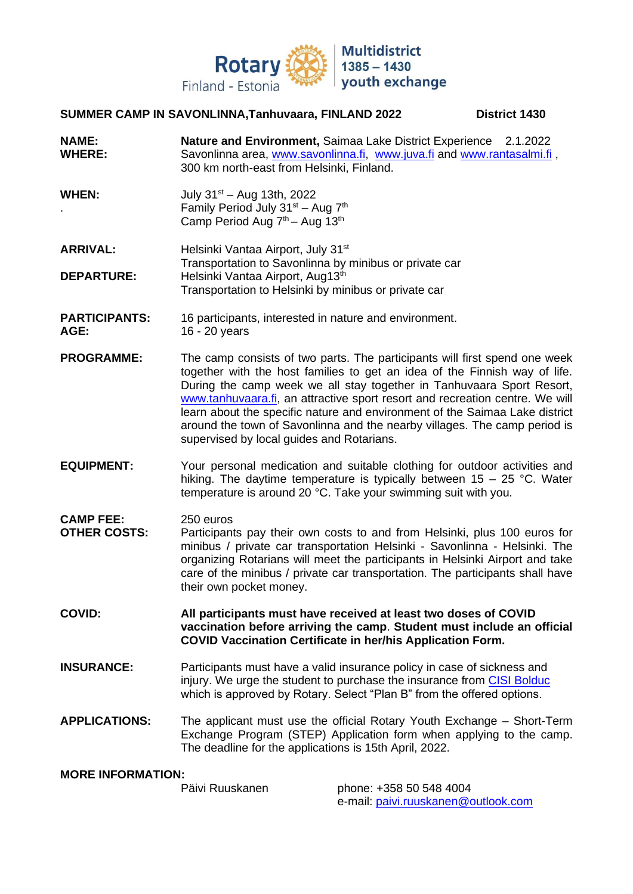

## **SUMMER CAMP IN SAVONLINNA,Tanhuvaara, FINLAND 2022 District 1430**

- **NAME: Nature and Environment,** Saimaa Lake District Experience 2.1.2022 WHERE: Savonlinna area, [www.savonlinna.fi,](http://www.savonlinna.fi/) [www.juva.fi](http://www.juva.fi/) and [www.rantasalmi.fi](http://www.rantasalmi.fi/), 300 km north-east from Helsinki, Finland.
- **WHEN:** July 31st Aug 13th, 2022 eriod July 31st – Aug 7th Camily Period July 31st – Aug 7th Camp Period Aug 7<sup>th</sup> – Aug 13<sup>th</sup>
- **ARRIVAL:** Helsinki Vantaa Airport, July 31<sup>st</sup> Transportation to Savonlinna by minibus or private car **DEPARTURE:** Helsinki Vantaa Airport, Aug13<sup>th</sup> Transportation to Helsinki by minibus or private car
- **PARTICIPANTS:** 16 participants, interested in nature and environment. **AGE:** 16 - 20 years
- **PROGRAMME:** The camp consists of two parts. The participants will first spend one week together with the host families to get an idea of the Finnish way of life. During the camp week we all stay together in Tanhuvaara Sport Resort, [www.tanhuvaara.fi,](http://www.tanhuvaara.fi/) an attractive sport resort and recreation centre. We will learn about the specific nature and environment of the Saimaa Lake district around the town of Savonlinna and the nearby villages. The camp period is supervised by local guides and Rotarians.
- **EQUIPMENT:** Your personal medication and suitable clothing for outdoor activities and hiking. The daytime temperature is typically between  $15 - 25$  °C. Water temperature is around 20 °C. Take your swimming suit with you.
- **CAMP FEE:** 250 euros **OTHER COSTS:** Participants pay their own costs to and from Helsinki, plus 100 euros for minibus / private car transportation Helsinki - Savonlinna - Helsinki. The organizing Rotarians will meet the participants in Helsinki Airport and take care of the minibus / private car transportation. The participants shall have their own pocket money.

**COVID: All participants must have received at least two doses of COVID vaccination before arriving the camp**. **Student must include an official COVID Vaccination Certificate in her/his Application Form.**

- **INSURANCE:** Participants must have a valid insurance policy in case of sickness and injury. We urge the student to purchase the insurance from [CISI Bolduc](http://www.culturalinsurance.com/rotary/rotary_plan_options.asp) which is approved by Rotary. Select "Plan B" from the offered options.
- **APPLICATIONS:** The applicant must use the official Rotary Youth Exchange Short-Term Exchange Program (STEP) Application form when applying to the camp. The deadline for the applications is 15th April, 2022.

## **MORE INFORMATION:**

phone: +358 50 548 4004 e-mail: [paivi.ruuskanen@outlook.com](mailto:paivi.ruuskanen@outlook.com)